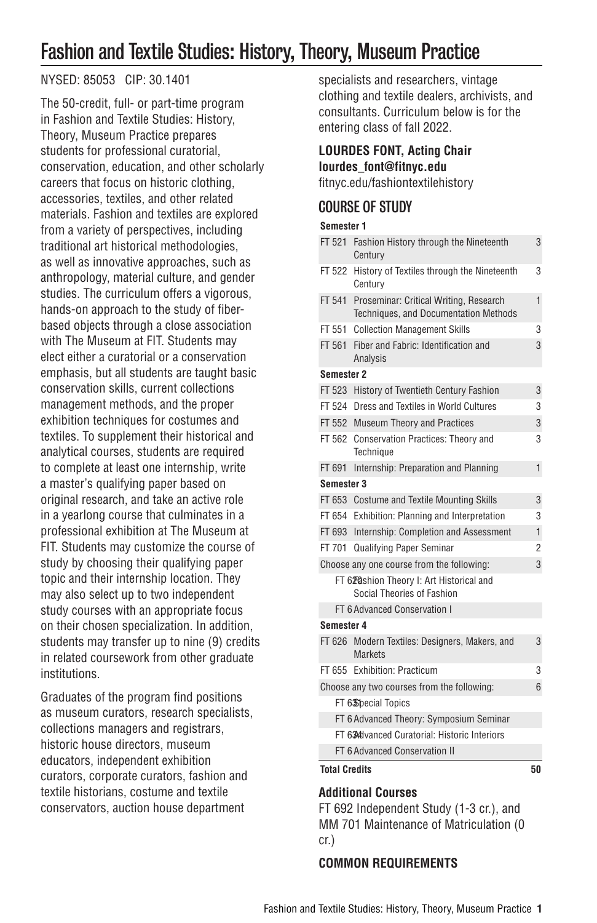# Fashion and Textile Studies: History, Theory, Museum Practice

## NYSED: 85053 CIP: 30.1401

The 50-credit, full- or part-time program in Fashion and Textile Studies: History, Theory, Museum Practice prepares students for professional curatorial, conservation, education, and other scholarly careers that focus on historic clothing, accessories, textiles, and other related materials. Fashion and textiles are explored from a variety of perspectives, including traditional art historical methodologies, as well as innovative approaches, such as anthropology, material culture, and gender studies. The curriculum offers a vigorous, hands-on approach to the study of fiberbased objects through a close association with The Museum at FIT. Students may elect either a curatorial or a conservation emphasis, but all students are taught basic conservation skills, current collections management methods, and the proper exhibition techniques for costumes and textiles. To supplement their historical and analytical courses, students are required to complete at least one internship, write a master's qualifying paper based on original research, and take an active role in a yearlong course that culminates in a professional exhibition at The Museum at FIT. Students may customize the course of study by choosing their qualifying paper topic and their internship location. They may also select up to two independent study courses with an appropriate focus on their chosen specialization. In addition, students may transfer up to nine (9) credits in related coursework from other graduate institutions.

Graduates of the program find positions as museum curators, research specialists, collections managers and registrars, historic house directors, museum educators, independent exhibition curators, corporate curators, fashion and textile historians, costume and textile conservators, auction house department

specialists and researchers, vintage clothing and textile dealers, archivists, and consultants. Curriculum below is for the entering class of fall 2022.

#### **LOURDES FONT, Acting Chair lourdes\_font@fitnyc.edu**

[fitnyc.edu/fashiontextilehistory](http://fitnyc.edu/fashiontextilehistory/)

## COURSE OF STUDY

#### **Semester 1**

| Semester 1                                   |                                                                                 |                |
|----------------------------------------------|---------------------------------------------------------------------------------|----------------|
| FT 521                                       | Fashion History through the Nineteenth<br>Century                               | 3              |
| FT 522                                       | History of Textiles through the Nineteenth<br>Century                           | 3              |
| FT 541                                       | Proseminar: Critical Writing, Research<br>Techniques, and Documentation Methods | 1              |
| FT 551                                       | <b>Collection Management Skills</b>                                             | 3              |
| FT 561                                       | Fiber and Fabric: Identification and<br>Analysis                                | 3              |
| Semester 2                                   |                                                                                 |                |
| FT 523                                       | History of Twentieth Century Fashion                                            | 3              |
| FT 524                                       | Dress and Textiles in World Cultures                                            | 3              |
| FT 552                                       | <b>Museum Theory and Practices</b>                                              | 3              |
| FT 562                                       | Conservation Practices: Theory and<br>Technique                                 | 3              |
| FT 691                                       | Internship: Preparation and Planning                                            | 1              |
| Semester 3                                   |                                                                                 |                |
| FT 653                                       | <b>Costume and Textile Mounting Skills</b>                                      | 3              |
| FT 654                                       | Exhibition: Planning and Interpretation                                         | 3              |
| FT 693                                       | Internship: Completion and Assessment                                           | 1              |
| FT 701                                       | Qualifying Paper Seminar                                                        | $\overline{2}$ |
| Choose any one course from the following:    |                                                                                 | 3              |
|                                              | FT 628ashion Theory I: Art Historical and<br>Social Theories of Fashion         |                |
|                                              | FT 6 Advanced Conservation I                                                    |                |
| Semester 4                                   |                                                                                 |                |
|                                              | FT 626 Modern Textiles: Designers, Makers, and<br><b>Markets</b>                | 3              |
|                                              | FT 655 Exhibition: Practicum                                                    | 3              |
| Choose any two courses from the following:   |                                                                                 | 6              |
| FT 63Sbecial Topics                          |                                                                                 |                |
| FT 6 Advanced Theory: Symposium Seminar      |                                                                                 |                |
| FT 634dvanced Curatorial: Historic Interiors |                                                                                 |                |
| FT 6 Advanced Conservation II                |                                                                                 |                |

**Total Credits 50**

## **Additional Courses**

FT 692 Independent Study (1-3 cr.), and MM 701 Maintenance of Matriculation (0 cr.)

## **COMMON REQUIREMENTS**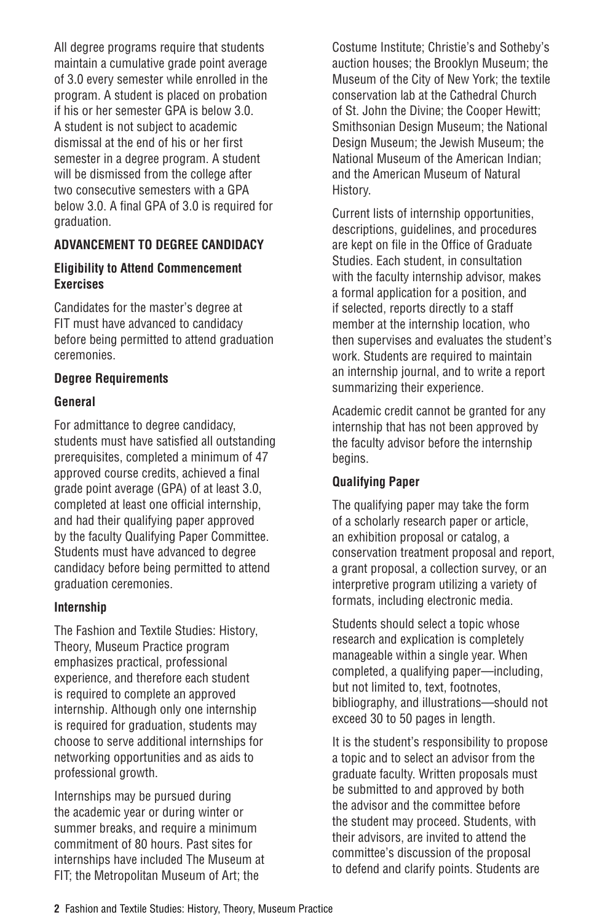All degree programs require that students maintain a cumulative grade point average of 3.0 every semester while enrolled in the program. A student is placed on probation if his or her semester GPA is below 3.0. A student is not subject to academic dismissal at the end of his or her first semester in a degree program. A student will be dismissed from the college after two consecutive semesters with a GPA below 3.0. A final GPA of 3.0 is required for graduation.

## **ADVANCEMENT TO DEGREE CANDIDACY**

#### **Eligibility to Attend Commencement Exercises**

Candidates for the master's degree at FIT must have advanced to candidacy before being permitted to attend graduation ceremonies.

#### **Degree Requirements**

#### **General**

For admittance to degree candidacy, students must have satisfied all outstanding prerequisites, completed a minimum of 47 approved course credits, achieved a final grade point average (GPA) of at least 3.0, completed at least one official internship, and had their qualifying paper approved by the faculty Qualifying Paper Committee. Students must have advanced to degree candidacy before being permitted to attend graduation ceremonies.

#### **Internship**

The Fashion and Textile Studies: History, Theory, Museum Practice program emphasizes practical, professional experience, and therefore each student is required to complete an approved internship. Although only one internship is required for graduation, students may choose to serve additional internships for networking opportunities and as aids to professional growth.

Internships may be pursued during the academic year or during winter or summer breaks, and require a minimum commitment of 80 hours. Past sites for internships have included The Museum at FIT; the Metropolitan Museum of Art; the

Costume Institute; Christie's and Sotheby's auction houses; the Brooklyn Museum; the Museum of the City of New York; the textile conservation lab at the Cathedral Church of St. John the Divine; the Cooper Hewitt; Smithsonian Design Museum; the National Design Museum; the Jewish Museum; the National Museum of the American Indian; and the American Museum of Natural History.

Current lists of internship opportunities, descriptions, guidelines, and procedures are kept on file in the Office of Graduate Studies. Each student, in consultation with the faculty internship advisor, makes a formal application for a position, and if selected, reports directly to a staff member at the internship location, who then supervises and evaluates the student's work. Students are required to maintain an internship journal, and to write a report summarizing their experience.

Academic credit cannot be granted for any internship that has not been approved by the faculty advisor before the internship begins.

#### **Qualifying Paper**

The qualifying paper may take the form of a scholarly research paper or article, an exhibition proposal or catalog, a conservation treatment proposal and report, a grant proposal, a collection survey, or an interpretive program utilizing a variety of formats, including electronic media.

Students should select a topic whose research and explication is completely manageable within a single year. When completed, a qualifying paper—including, but not limited to, text, footnotes, bibliography, and illustrations—should not exceed 30 to 50 pages in length.

It is the student's responsibility to propose a topic and to select an advisor from the graduate faculty. Written proposals must be submitted to and approved by both the advisor and the committee before the student may proceed. Students, with their advisors, are invited to attend the committee's discussion of the proposal to defend and clarify points. Students are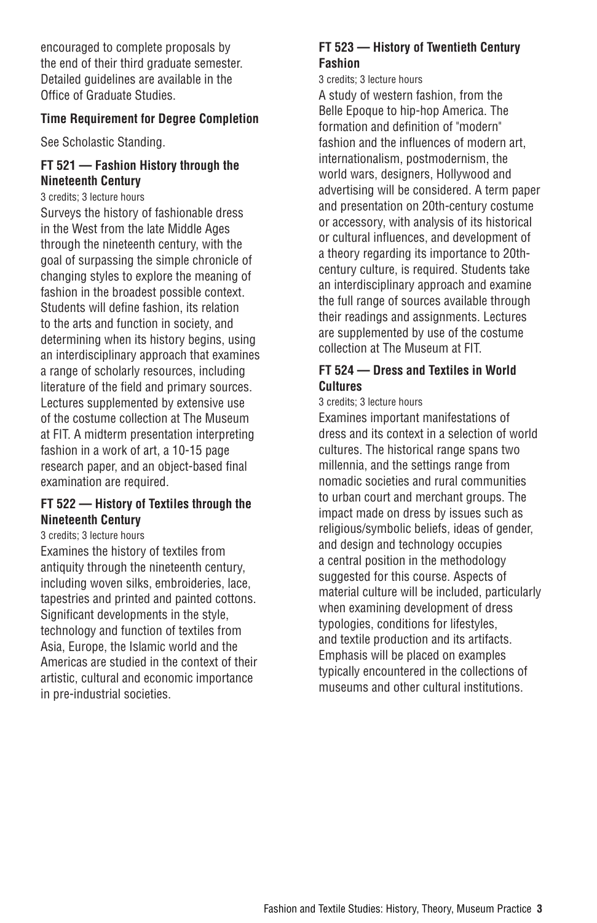encouraged to complete proposals by the end of their third graduate semester. Detailed guidelines are available in the Office of Graduate Studies.

#### **Time Requirement for Degree Completion**

See [Scholastic Standing.](https://catalog.fitnyc.edu/graduate/academic-programs/scholastic-standing/)

#### **FT 521 — Fashion History through the Nineteenth Century**

3 credits; 3 lecture hours

Surveys the history of fashionable dress in the West from the late Middle Ages through the nineteenth century, with the goal of surpassing the simple chronicle of changing styles to explore the meaning of fashion in the broadest possible context. Students will define fashion, its relation to the arts and function in society, and determining when its history begins, using an interdisciplinary approach that examines a range of scholarly resources, including literature of the field and primary sources. Lectures supplemented by extensive use of the costume collection at The Museum at FIT. A midterm presentation interpreting fashion in a work of art, a 10-15 page research paper, and an object-based final examination are required.

#### **FT 522 — History of Textiles through the Nineteenth Century**

#### 3 credits; 3 lecture hours

Examines the history of textiles from antiquity through the nineteenth century, including woven silks, embroideries, lace, tapestries and printed and painted cottons. Significant developments in the style, technology and function of textiles from Asia, Europe, the Islamic world and the Americas are studied in the context of their artistic, cultural and economic importance in pre-industrial societies.

## **FT 523 — History of Twentieth Century Fashion**

3 credits; 3 lecture hours

A study of western fashion, from the Belle Epoque to hip-hop America. The formation and definition of "modern" fashion and the influences of modern art, internationalism, postmodernism, the world wars, designers, Hollywood and advertising will be considered. A term paper and presentation on 20th-century costume or accessory, with analysis of its historical or cultural influences, and development of a theory regarding its importance to 20thcentury culture, is required. Students take an interdisciplinary approach and examine the full range of sources available through their readings and assignments. Lectures are supplemented by use of the costume collection at The Museum at FIT.

## **FT 524 — Dress and Textiles in World Cultures**

3 credits; 3 lecture hours

Examines important manifestations of dress and its context in a selection of world cultures. The historical range spans two millennia, and the settings range from nomadic societies and rural communities to urban court and merchant groups. The impact made on dress by issues such as religious/symbolic beliefs, ideas of gender, and design and technology occupies a central position in the methodology suggested for this course. Aspects of material culture will be included, particularly when examining development of dress typologies, conditions for lifestyles, and textile production and its artifacts. Emphasis will be placed on examples typically encountered in the collections of museums and other cultural institutions.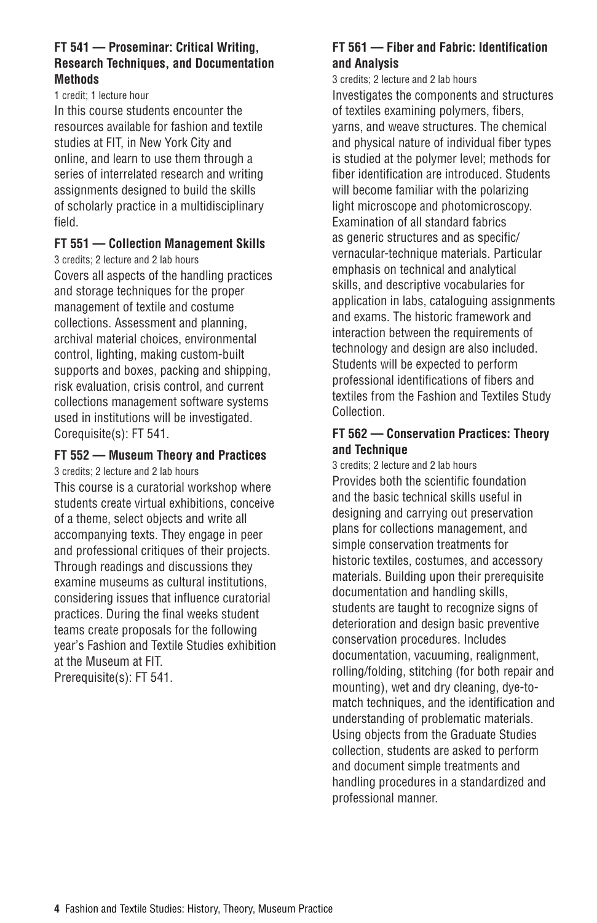#### **FT 541 — Proseminar: Critical Writing, Research Techniques, and Documentation Methods**

#### 1 credit; 1 lecture hour

In this course students encounter the resources available for fashion and textile studies at FIT, in New York City and online, and learn to use them through a series of interrelated research and writing assignments designed to build the skills of scholarly practice in a multidisciplinary field.

#### **FT 551 — Collection Management Skills**

3 credits; 2 lecture and 2 lab hours

Covers all aspects of the handling practices and storage techniques for the proper management of textile and costume collections. Assessment and planning, archival material choices, environmental control, lighting, making custom-built supports and boxes, packing and shipping, risk evaluation, crisis control, and current collections management software systems used in institutions will be investigated. Corequisite(s): FT 541.

## **FT 552 — Museum Theory and Practices**

3 credits; 2 lecture and 2 lab hours

This course is a curatorial workshop where students create virtual exhibitions, conceive of a theme, select objects and write all accompanying texts. They engage in peer and professional critiques of their projects. Through readings and discussions they examine museums as cultural institutions, considering issues that influence curatorial practices. During the final weeks student teams create proposals for the following year's Fashion and Textile Studies exhibition at the Museum at FIT.

Prerequisite(s): FT 541.

## **FT 561 — Fiber and Fabric: Identification and Analysis**

3 credits; 2 lecture and 2 lab hours Investigates the components and structures of textiles examining polymers, fibers, yarns, and weave structures. The chemical and physical nature of individual fiber types is studied at the polymer level; methods for fiber identification are introduced. Students will become familiar with the polarizing light microscope and photomicroscopy. Examination of all standard fabrics as generic structures and as specific/ vernacular-technique materials. Particular emphasis on technical and analytical skills, and descriptive vocabularies for application in labs, cataloguing assignments and exams. The historic framework and interaction between the requirements of technology and design are also included. Students will be expected to perform professional identifications of fibers and textiles from the Fashion and Textiles Study Collection.

## **FT 562 — Conservation Practices: Theory and Technique**

3 credits; 2 lecture and 2 lab hours Provides both the scientific foundation and the basic technical skills useful in designing and carrying out preservation plans for collections management, and simple conservation treatments for historic textiles, costumes, and accessory materials. Building upon their prerequisite documentation and handling skills, students are taught to recognize signs of deterioration and design basic preventive conservation procedures. Includes documentation, vacuuming, realignment, rolling/folding, stitching (for both repair and mounting), wet and dry cleaning, dye-tomatch techniques, and the identification and understanding of problematic materials. Using objects from the Graduate Studies collection, students are asked to perform and document simple treatments and handling procedures in a standardized and professional manner.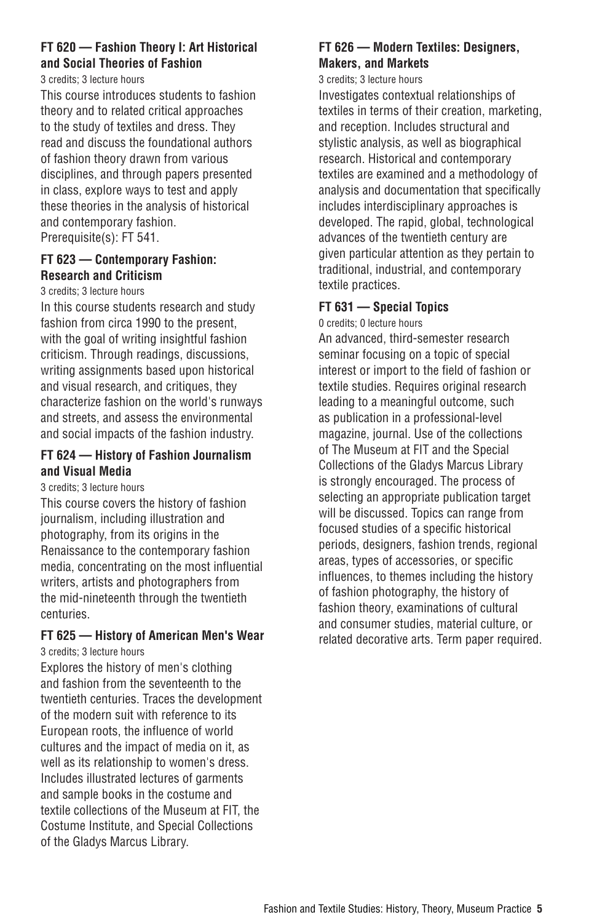#### **FT 620 — Fashion Theory I: Art Historical and Social Theories of Fashion**

3 credits; 3 lecture hours

This course introduces students to fashion theory and to related critical approaches to the study of textiles and dress. They read and discuss the foundational authors of fashion theory drawn from various disciplines, and through papers presented in class, explore ways to test and apply these theories in the analysis of historical and contemporary fashion. Prerequisite(s): FT 541.

## **FT 623 — Contemporary Fashion: Research and Criticism**

3 credits; 3 lecture hours

In this course students research and study fashion from circa 1990 to the present, with the goal of writing insightful fashion criticism. Through readings, discussions, writing assignments based upon historical and visual research, and critiques, they characterize fashion on the world's runways and streets, and assess the environmental and social impacts of the fashion industry.

#### **FT 624 — History of Fashion Journalism and Visual Media**

3 credits; 3 lecture hours

This course covers the history of fashion journalism, including illustration and photography, from its origins in the Renaissance to the contemporary fashion media, concentrating on the most influential writers, artists and photographers from the mid-nineteenth through the twentieth centuries.

## **FT 625 — History of American Men's Wear**

3 credits; 3 lecture hours

Explores the history of men's clothing and fashion from the seventeenth to the twentieth centuries. Traces the development of the modern suit with reference to its European roots, the influence of world cultures and the impact of media on it, as well as its relationship to women's dress. Includes illustrated lectures of garments and sample books in the costume and textile collections of the Museum at FIT, the Costume Institute, and Special Collections of the Gladys Marcus Library.

#### **FT 626 — Modern Textiles: Designers, Makers, and Markets**

#### 3 credits; 3 lecture hours

Investigates contextual relationships of textiles in terms of their creation, marketing, and reception. Includes structural and stylistic analysis, as well as biographical research. Historical and contemporary textiles are examined and a methodology of analysis and documentation that specifically includes interdisciplinary approaches is developed. The rapid, global, technological advances of the twentieth century are given particular attention as they pertain to traditional, industrial, and contemporary textile practices.

#### **FT 631 — Special Topics**

0 credits; 0 lecture hours

An advanced, third-semester research seminar focusing on a topic of special interest or import to the field of fashion or textile studies. Requires original research leading to a meaningful outcome, such as publication in a professional-level magazine, journal. Use of the collections of The Museum at FIT and the Special Collections of the Gladys Marcus Library is strongly encouraged. The process of selecting an appropriate publication target will be discussed. Topics can range from focused studies of a specific historical periods, designers, fashion trends, regional areas, types of accessories, or specific influences, to themes including the history of fashion photography, the history of fashion theory, examinations of cultural and consumer studies, material culture, or related decorative arts. Term paper required.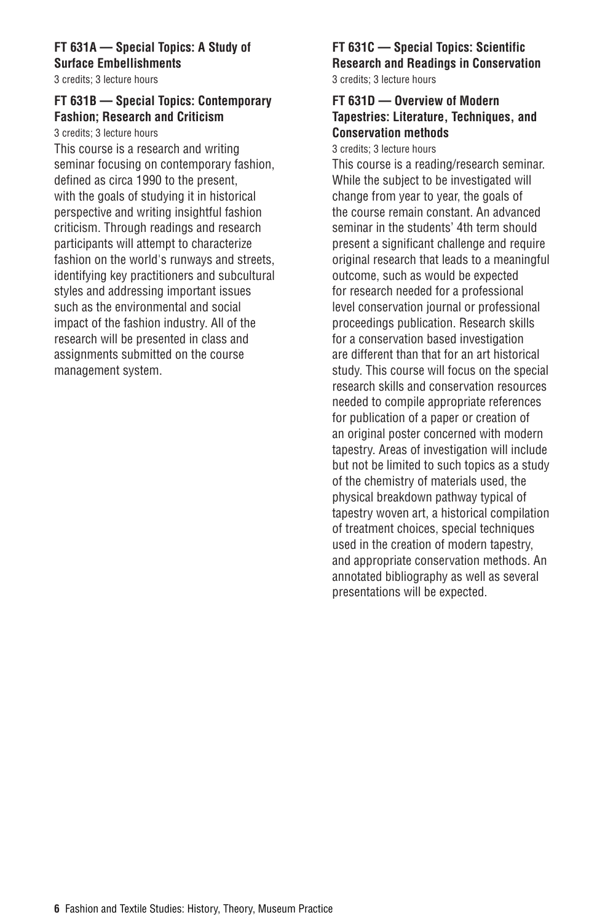## **FT 631A — Special Topics: A Study of Surface Embellishments**

3 credits; 3 lecture hours

## **FT 631B — Special Topics: Contemporary Fashion; Research and Criticism**

3 credits; 3 lecture hours

This course is a research and writing seminar focusing on contemporary fashion, defined as circa 1990 to the present, with the goals of studying it in historical perspective and writing insightful fashion criticism. Through readings and research participants will attempt to characterize fashion on the world's runways and streets, identifying key practitioners and subcultural styles and addressing important issues such as the environmental and social impact of the fashion industry. All of the research will be presented in class and assignments submitted on the course management system.

#### **FT 631C — Special Topics: Scientific Research and Readings in Conservation** 3 credits; 3 lecture hours

## **FT 631D — Overview of Modern Tapestries: Literature, Techniques, and Conservation methods**

3 credits; 3 lecture hours

This course is a reading/research seminar. While the subject to be investigated will change from year to year, the goals of the course remain constant. An advanced seminar in the students' 4th term should present a significant challenge and require original research that leads to a meaningful outcome, such as would be expected for research needed for a professional level conservation journal or professional proceedings publication. Research skills for a conservation based investigation are different than that for an art historical study. This course will focus on the special research skills and conservation resources needed to compile appropriate references for publication of a paper or creation of an original poster concerned with modern tapestry. Areas of investigation will include but not be limited to such topics as a study of the chemistry of materials used, the physical breakdown pathway typical of tapestry woven art, a historical compilation of treatment choices, special techniques used in the creation of modern tapestry, and appropriate conservation methods. An annotated bibliography as well as several presentations will be expected.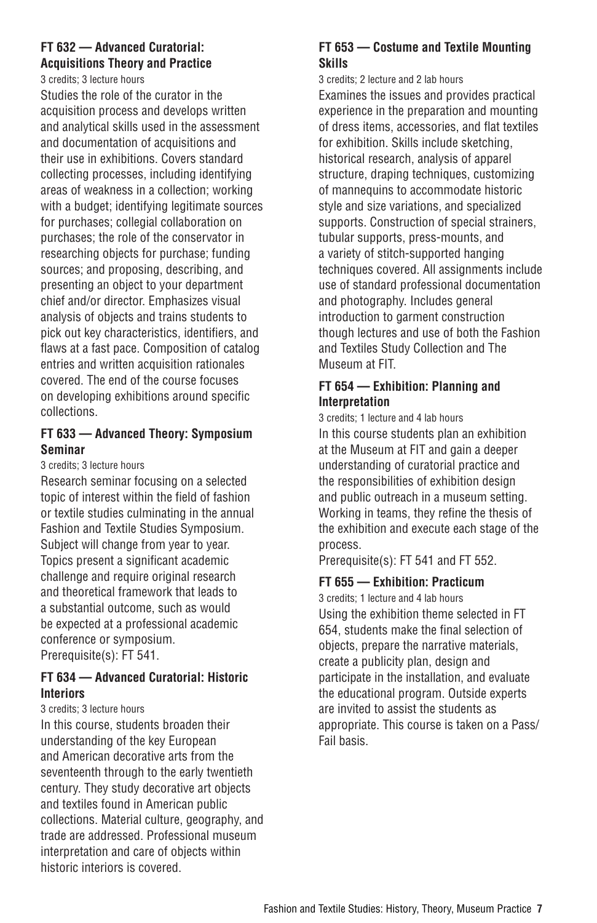## **FT 632 — Advanced Curatorial: Acquisitions Theory and Practice**

3 credits; 3 lecture hours

Studies the role of the curator in the acquisition process and develops written and analytical skills used in the assessment and documentation of acquisitions and their use in exhibitions. Covers standard collecting processes, including identifying areas of weakness in a collection; working with a budget; identifying legitimate sources for purchases; collegial collaboration on purchases; the role of the conservator in researching objects for purchase; funding sources; and proposing, describing, and presenting an object to your department chief and/or director. Emphasizes visual analysis of objects and trains students to pick out key characteristics, identifiers, and flaws at a fast pace. Composition of catalog entries and written acquisition rationales covered. The end of the course focuses on developing exhibitions around specific collections.

## **FT 633 — Advanced Theory: Symposium Seminar**

3 credits; 3 lecture hours

Research seminar focusing on a selected topic of interest within the field of fashion or textile studies culminating in the annual Fashion and Textile Studies Symposium. Subject will change from year to year. Topics present a significant academic challenge and require original research and theoretical framework that leads to a substantial outcome, such as would be expected at a professional academic conference or symposium. Prerequisite(s): FT 541.

#### **FT 634 — Advanced Curatorial: Historic Interiors**

#### 3 credits; 3 lecture hours

In this course, students broaden their understanding of the key European and American decorative arts from the seventeenth through to the early twentieth century. They study decorative art objects and textiles found in American public collections. Material culture, geography, and trade are addressed. Professional museum interpretation and care of objects within historic interiors is covered.

## **FT 653 — Costume and Textile Mounting Skills**

3 credits; 2 lecture and 2 lab hours Examines the issues and provides practical experience in the preparation and mounting of dress items, accessories, and flat textiles for exhibition. Skills include sketching, historical research, analysis of apparel structure, draping techniques, customizing of mannequins to accommodate historic style and size variations, and specialized supports. Construction of special strainers, tubular supports, press-mounts, and a variety of stitch-supported hanging techniques covered. All assignments include use of standard professional documentation and photography. Includes general introduction to garment construction though lectures and use of both the Fashion and Textiles Study Collection and The Museum at FIT.

#### **FT 654 — Exhibition: Planning and Interpretation**

3 credits; 1 lecture and 4 lab hours In this course students plan an exhibition at the Museum at FIT and gain a deeper understanding of curatorial practice and the responsibilities of exhibition design and public outreach in a museum setting. Working in teams, they refine the thesis of the exhibition and execute each stage of the process.

Prerequisite(s): FT 541 and FT 552.

#### **FT 655 — Exhibition: Practicum**

3 credits; 1 lecture and 4 lab hours Using the exhibition theme selected in FT 654, students make the final selection of objects, prepare the narrative materials, create a publicity plan, design and participate in the installation, and evaluate the educational program. Outside experts are invited to assist the students as appropriate. This course is taken on a Pass/ Fail basis.